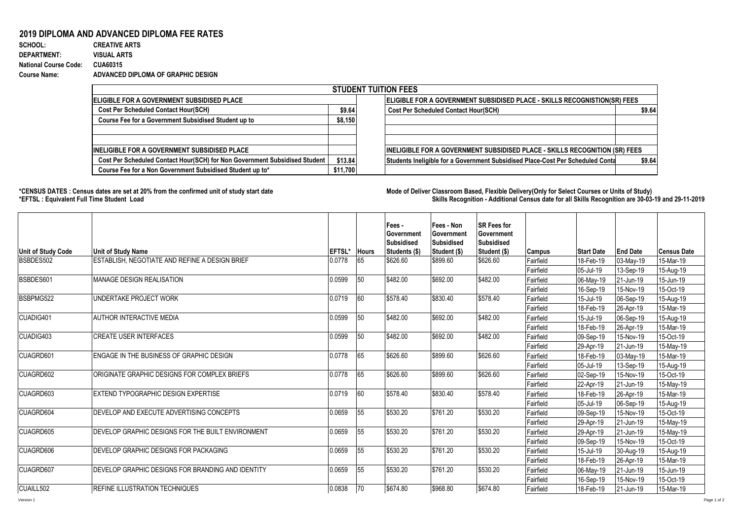## **2019 DIPLOMA AND ADVANCED DIPLOMA FEE RATES**

| SCHOOL:                      | <b>CREATIVE ARTS</b>               |
|------------------------------|------------------------------------|
| <b>DEPARTMENT:</b>           | <b>VISUAL ARTS</b>                 |
| <b>National Course Code:</b> | CUA60315                           |
| <b>Course Name:</b>          | ADVANCED DIPLOMA OF GRAPHIC DESIGN |

| <b>STUDENT TUITION FEES</b>                                                |          |                                                                                          |  |  |  |  |  |  |  |
|----------------------------------------------------------------------------|----------|------------------------------------------------------------------------------------------|--|--|--|--|--|--|--|
| <b>IELIGIBLE FOR A GOVERNMENT SUBSIDISED PLACE</b>                         |          | <b>ELIGIBLE FOR A GOVERNMENT SUBSIDISED PLACE - SKILLS RECOGNISTION(SR) FEES</b>         |  |  |  |  |  |  |  |
| <b>Cost Per Scheduled Contact Hour(SCH)</b>                                |          | \$9.64<br><b>Cost Per Scheduled Contact Hour(SCH)</b><br>\$9.64                          |  |  |  |  |  |  |  |
| Course Fee for a Government Subsidised Student up to                       | \$8,150  |                                                                                          |  |  |  |  |  |  |  |
|                                                                            |          |                                                                                          |  |  |  |  |  |  |  |
|                                                                            |          |                                                                                          |  |  |  |  |  |  |  |
| <b>IINELIGIBLE FOR A GOVERNMENT SUBSIDISED PLACE</b>                       |          | <b>INELIGIBLE FOR A GOVERNMENT SUBSIDISED PLACE - SKILLS RECOGNITION (SR) FEES</b>       |  |  |  |  |  |  |  |
| Cost Per Scheduled Contact Hour(SCH) for Non Government Subsidised Student | \$13.84  | Students Ineligible for a Government Subsidised Place-Cost Per Scheduled Conta<br>\$9.64 |  |  |  |  |  |  |  |
| Course Fee for a Non Government Subsidised Student up to*                  | \$11,700 |                                                                                          |  |  |  |  |  |  |  |

1000

**\*CENSUS DATES : Census dates are set at 20% from the confirmed unit of study start date Mode of Delivery:Classroom Based, Flexible Delivery(Only for Select Courses or Units of Study) \*EFTSL : Equivalent Full Time Student Load Skills Recognition - Additional Census date for all Skills Recognition are 30-03-19 and 29-11-2019** 

| Unit of Study Code | <b>Unit of Study Name</b>                                | <b>EFTSL*</b> Hours |    | Fees -<br>Government<br>Subsidised<br>Students (\$) | Fees - Non<br>Government<br><b>Subsidised</b>                                                                                                                                                                                                                                                                                                                                                                                                                                                                                                                                                                                                                                                                                                                                                                                                                                                                                                                                   | <b>SR Fees for</b><br>Government<br>Subsidised |           |           |           | <b>Census Date</b> |
|--------------------|----------------------------------------------------------|---------------------|----|-----------------------------------------------------|---------------------------------------------------------------------------------------------------------------------------------------------------------------------------------------------------------------------------------------------------------------------------------------------------------------------------------------------------------------------------------------------------------------------------------------------------------------------------------------------------------------------------------------------------------------------------------------------------------------------------------------------------------------------------------------------------------------------------------------------------------------------------------------------------------------------------------------------------------------------------------------------------------------------------------------------------------------------------------|------------------------------------------------|-----------|-----------|-----------|--------------------|
| BSBDES502          | ESTABLISH. NEGOTIATE AND REFINE A DESIGN BRIEF           | 0.0778              | 65 | \$626.60                                            | \$899.60                                                                                                                                                                                                                                                                                                                                                                                                                                                                                                                                                                                                                                                                                                                                                                                                                                                                                                                                                                        | \$626.60                                       |           |           |           | 15-Mar-19          |
|                    |                                                          |                     |    |                                                     |                                                                                                                                                                                                                                                                                                                                                                                                                                                                                                                                                                                                                                                                                                                                                                                                                                                                                                                                                                                 |                                                | Fairfield |           |           | 15-Aug-19          |
| BSBDES601          | MANAGE DESIGN REALISATION                                | 0.0599              | 50 | \$482.00                                            |                                                                                                                                                                                                                                                                                                                                                                                                                                                                                                                                                                                                                                                                                                                                                                                                                                                                                                                                                                                 | \$482.00                                       | Fairfield |           | 21-Jun-19 | 15-Jun-19          |
|                    |                                                          |                     |    |                                                     |                                                                                                                                                                                                                                                                                                                                                                                                                                                                                                                                                                                                                                                                                                                                                                                                                                                                                                                                                                                 |                                                |           |           |           | 15-Oct-19          |
| BSBPMG522          | UNDERTAKE PROJECT WORK                                   | 0.0719              | 60 | \$578.40                                            |                                                                                                                                                                                                                                                                                                                                                                                                                                                                                                                                                                                                                                                                                                                                                                                                                                                                                                                                                                                 | \$578.40                                       |           | 15-Jul-19 | 06-Sep-19 | 15-Aug-19          |
|                    |                                                          |                     |    |                                                     |                                                                                                                                                                                                                                                                                                                                                                                                                                                                                                                                                                                                                                                                                                                                                                                                                                                                                                                                                                                 |                                                | Fairfield | 18-Feb-19 |           | 15-Mar-19          |
| CUADIG401          | <b>AUTHOR INTERACTIVE MEDIA</b>                          | 0.0599              | 50 | \$482.00                                            | \$692.00                                                                                                                                                                                                                                                                                                                                                                                                                                                                                                                                                                                                                                                                                                                                                                                                                                                                                                                                                                        | \$482.00                                       | Fairfield | 15-Jul-19 | 06-Sep-19 | 15-Aug-19          |
|                    |                                                          |                     |    |                                                     |                                                                                                                                                                                                                                                                                                                                                                                                                                                                                                                                                                                                                                                                                                                                                                                                                                                                                                                                                                                 |                                                | Fairfield | 18-Feb-19 | 26-Apr-19 | 15-Mar-19          |
| CUADIG403          | <b>ICREATE USER INTERFACES</b>                           | 0.0599              | 50 | \$482.00                                            | \$692.00                                                                                                                                                                                                                                                                                                                                                                                                                                                                                                                                                                                                                                                                                                                                                                                                                                                                                                                                                                        | \$482.00                                       | Fairfield | 09-Sep-19 | 15-Nov-19 | 15-Oct-19          |
|                    |                                                          |                     |    |                                                     |                                                                                                                                                                                                                                                                                                                                                                                                                                                                                                                                                                                                                                                                                                                                                                                                                                                                                                                                                                                 |                                                | Fairfield | 29-Apr-19 | 21-Jun-19 | 15-May-19          |
| CUAGRD601          | ENGAGE IN THE BUSINESS OF GRAPHIC DESIGN                 | 0.0778              | 65 | \$626.60                                            | \$899.60                                                                                                                                                                                                                                                                                                                                                                                                                                                                                                                                                                                                                                                                                                                                                                                                                                                                                                                                                                        | \$626.60                                       | Fairfield | 18-Feb-19 | 03-May-19 | 15-Mar-19          |
|                    |                                                          |                     |    |                                                     |                                                                                                                                                                                                                                                                                                                                                                                                                                                                                                                                                                                                                                                                                                                                                                                                                                                                                                                                                                                 |                                                | Fairfield | 05-Jul-19 | 13-Sep-19 | 15-Aug-19          |
| CUAGRD602          | ORIGINATE GRAPHIC DESIGNS FOR COMPLEX BRIEFS             | 0.0778              | 65 | \$626.60                                            | Student (\$)<br>Student (\$)<br><b>Start Date</b><br><b>End Date</b><br><b>Campus</b><br>Fairfield<br>18-Feb-19<br>03-May-19<br>05-Jul-19<br>13-Sep-19<br>\$692.00<br>06-May-19<br>Fairfield<br>16-Sep-19<br>15-Nov-19<br>$\sqrt{$830.40}$<br>Fairfield<br>26-Apr-19<br>\$626.60<br>\$899.60<br>Fairfield<br>02-Sep-19<br>15-Nov-19<br>Fairfield<br>22-Apr-19<br>21-Jun-19<br>\$830.40<br>\$578.40<br>Fairfield<br>26-Apr-19<br>18-Feb-19<br>Fairfield<br>05-Jul-19<br>06-Sep-19<br>\$761.20<br>\$530.20<br>Fairfield<br>09-Sep-19<br>15-Nov-19<br>Fairfield<br>21-Jun-19<br>29-Apr-19<br>\$761.20<br>\$530.20<br>Fairfield<br>29-Apr-19<br>21-Jun-19<br>Fairfield<br>09-Sep-19<br>15-Nov-19<br>$\sqrt{$761.20}$<br>\$530.20<br>Fairfield<br>15-Jul-19<br>30-Aug-19<br>Fairfield<br>18-Feb-19<br>26-Apr-19<br>\$761.20<br>\$530.20<br>21-Jun-19<br>Fairfield<br>06-May-19<br>Fairfield<br>16-Sep-19<br>15-Nov-19<br>\$674.80<br>\$968.80<br>Fairfield<br>21-Jun-19<br>18-Feb-19 |                                                |           |           |           | 15-Oct-19          |
|                    |                                                          |                     |    |                                                     |                                                                                                                                                                                                                                                                                                                                                                                                                                                                                                                                                                                                                                                                                                                                                                                                                                                                                                                                                                                 | 15-May-19                                      |           |           |           |                    |
| CUAGRD603          | <b>IEXTEND TYPOGRAPHIC DESIGN EXPERTISE</b>              | 0.0719              | 60 | \$578.40                                            |                                                                                                                                                                                                                                                                                                                                                                                                                                                                                                                                                                                                                                                                                                                                                                                                                                                                                                                                                                                 |                                                |           |           |           | 15-Mar-19          |
|                    |                                                          |                     |    |                                                     |                                                                                                                                                                                                                                                                                                                                                                                                                                                                                                                                                                                                                                                                                                                                                                                                                                                                                                                                                                                 |                                                |           |           |           | 15-Aug-19          |
| CUAGRD604          | DEVELOP AND EXECUTE ADVERTISING CONCEPTS                 | 0.0659              | 55 | \$530.20                                            |                                                                                                                                                                                                                                                                                                                                                                                                                                                                                                                                                                                                                                                                                                                                                                                                                                                                                                                                                                                 |                                                |           |           |           | 15-Oct-19          |
|                    |                                                          |                     |    |                                                     |                                                                                                                                                                                                                                                                                                                                                                                                                                                                                                                                                                                                                                                                                                                                                                                                                                                                                                                                                                                 |                                                |           |           |           | 15-May-19          |
| CUAGRD605          | DEVELOP GRAPHIC DESIGNS FOR THE BUILT ENVIRONMENT        | 0.0659              | 55 | \$530.20                                            |                                                                                                                                                                                                                                                                                                                                                                                                                                                                                                                                                                                                                                                                                                                                                                                                                                                                                                                                                                                 |                                                |           |           |           | 15-May-19          |
|                    |                                                          |                     |    |                                                     |                                                                                                                                                                                                                                                                                                                                                                                                                                                                                                                                                                                                                                                                                                                                                                                                                                                                                                                                                                                 |                                                |           |           |           | 15-Oct-19          |
| CUAGRD606          | <b>DEVELOP GRAPHIC DESIGNS FOR PACKAGING</b>             | 0.0659              | 55 | \$530.20                                            |                                                                                                                                                                                                                                                                                                                                                                                                                                                                                                                                                                                                                                                                                                                                                                                                                                                                                                                                                                                 |                                                |           |           |           | 15-Aug-19          |
|                    |                                                          |                     |    |                                                     |                                                                                                                                                                                                                                                                                                                                                                                                                                                                                                                                                                                                                                                                                                                                                                                                                                                                                                                                                                                 |                                                |           |           |           | 15-Mar-19          |
| CUAGRD607          | <b>DEVELOP GRAPHIC DESIGNS FOR BRANDING AND IDENTITY</b> | 0.0659              | 55 | \$530.20                                            |                                                                                                                                                                                                                                                                                                                                                                                                                                                                                                                                                                                                                                                                                                                                                                                                                                                                                                                                                                                 |                                                |           |           |           | 15-Jun-19          |
|                    |                                                          |                     |    |                                                     |                                                                                                                                                                                                                                                                                                                                                                                                                                                                                                                                                                                                                                                                                                                                                                                                                                                                                                                                                                                 |                                                |           |           |           | 15-Oct-19          |
| CUAILL502          | <b>REFINE ILLUSTRATION TECHNIQUES</b>                    | 0.0838              | 70 | \$674.80                                            |                                                                                                                                                                                                                                                                                                                                                                                                                                                                                                                                                                                                                                                                                                                                                                                                                                                                                                                                                                                 |                                                |           |           |           | 15-Mar-19          |
| Version 1          |                                                          |                     |    |                                                     |                                                                                                                                                                                                                                                                                                                                                                                                                                                                                                                                                                                                                                                                                                                                                                                                                                                                                                                                                                                 |                                                |           |           |           | Page 1 of 2        |